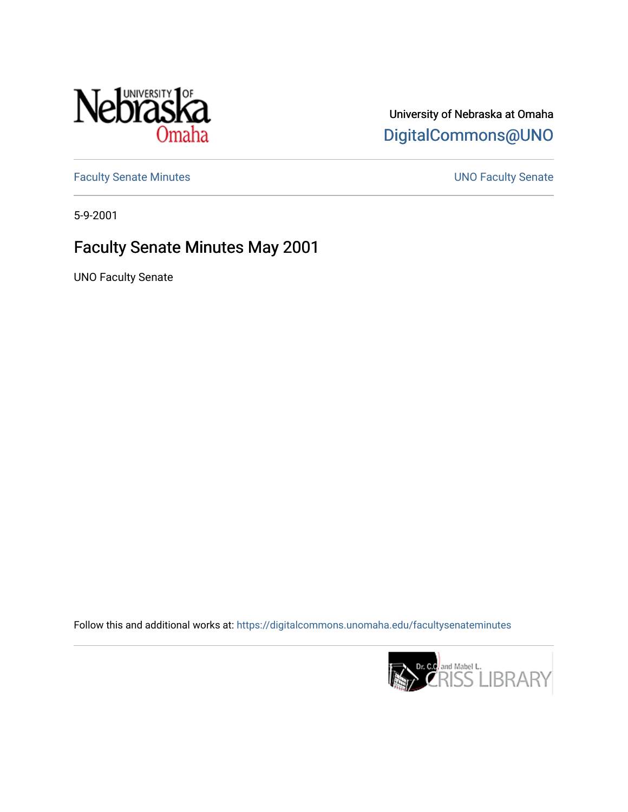

## University of Nebraska at Omaha [DigitalCommons@UNO](https://digitalcommons.unomaha.edu/)

[Faculty Senate Minutes](https://digitalcommons.unomaha.edu/facultysenateminutes) **Exercise Senate UNO Faculty Senate** 

5-9-2001

## Faculty Senate Minutes May 2001

UNO Faculty Senate

Follow this and additional works at: [https://digitalcommons.unomaha.edu/facultysenateminutes](https://digitalcommons.unomaha.edu/facultysenateminutes?utm_source=digitalcommons.unomaha.edu%2Ffacultysenateminutes%2F76&utm_medium=PDF&utm_campaign=PDFCoverPages) 

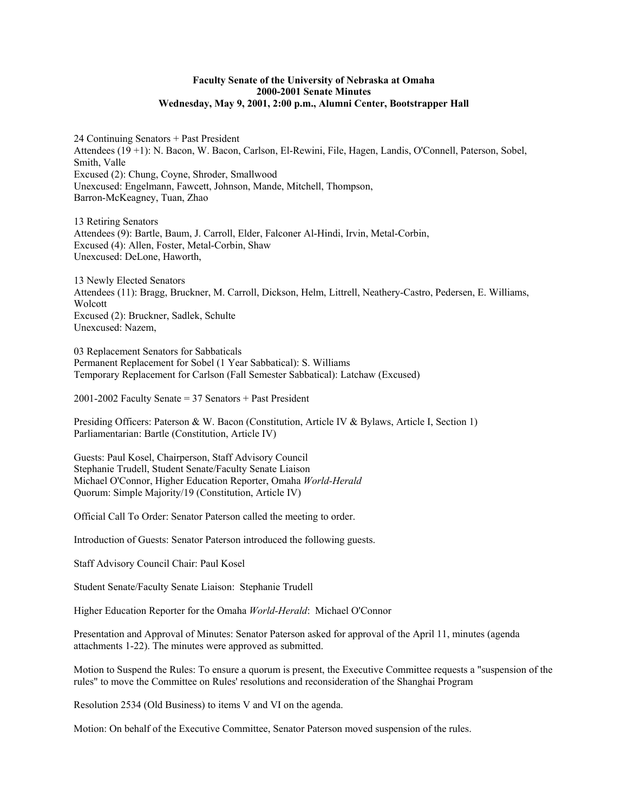## **Faculty Senate of the University of Nebraska at Omaha 2000-2001 Senate Minutes Wednesday, May 9, 2001, 2:00 p.m., Alumni Center, Bootstrapper Hall**

24 Continuing Senators + Past President Attendees (19 +1): N. Bacon, W. Bacon, Carlson, El-Rewini, File, Hagen, Landis, O'Connell, Paterson, Sobel, Smith, Valle Excused (2): Chung, Coyne, Shroder, Smallwood Unexcused: Engelmann, Fawcett, Johnson, Mande, Mitchell, Thompson, Barron-McKeagney, Tuan, Zhao

13 Retiring Senators Attendees (9): Bartle, Baum, J. Carroll, Elder, Falconer Al-Hindi, Irvin, Metal-Corbin, Excused (4): Allen, Foster, Metal-Corbin, Shaw Unexcused: DeLone, Haworth,

13 Newly Elected Senators Attendees (11): Bragg, Bruckner, M. Carroll, Dickson, Helm, Littrell, Neathery-Castro, Pedersen, E. Williams, Wolcott Excused (2): Bruckner, Sadlek, Schulte Unexcused: Nazem,

03 Replacement Senators for Sabbaticals Permanent Replacement for Sobel (1 Year Sabbatical): S. Williams Temporary Replacement for Carlson (Fall Semester Sabbatical): Latchaw (Excused)

2001-2002 Faculty Senate = 37 Senators + Past President

Presiding Officers: Paterson & W. Bacon (Constitution, Article IV & Bylaws, Article I, Section 1) Parliamentarian: Bartle (Constitution, Article IV)

Guests: Paul Kosel, Chairperson, Staff Advisory Council Stephanie Trudell, Student Senate/Faculty Senate Liaison Michael O'Connor, Higher Education Reporter, Omaha *World-Herald* Quorum: Simple Majority/19 (Constitution, Article IV)

Official Call To Order: Senator Paterson called the meeting to order.

Introduction of Guests: Senator Paterson introduced the following guests.

Staff Advisory Council Chair: Paul Kosel

Student Senate/Faculty Senate Liaison: Stephanie Trudell

Higher Education Reporter for the Omaha *World-Herald*: Michael O'Connor

Presentation and Approval of Minutes: Senator Paterson asked for approval of the April 11, minutes (agenda attachments 1-22). The minutes were approved as submitted.

Motion to Suspend the Rules: To ensure a quorum is present, the Executive Committee requests a "suspension of the rules" to move the Committee on Rules' resolutions and reconsideration of the Shanghai Program

Resolution 2534 (Old Business) to items V and VI on the agenda.

Motion: On behalf of the Executive Committee, Senator Paterson moved suspension of the rules.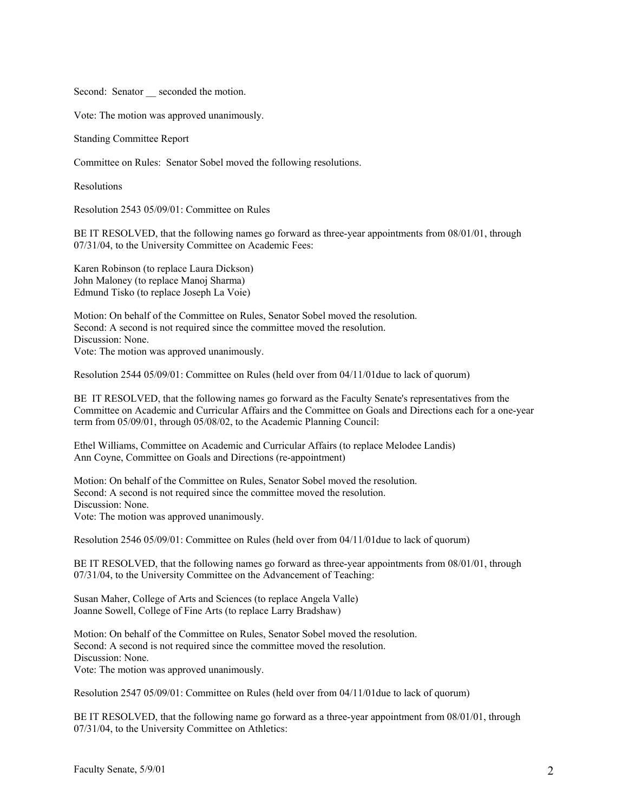Second: Senator seconded the motion.

Vote: The motion was approved unanimously.

Standing Committee Report

Committee on Rules: Senator Sobel moved the following resolutions.

Resolutions

Resolution 2543 05/09/01: Committee on Rules

BE IT RESOLVED, that the following names go forward as three-year appointments from 08/01/01, through 07/31/04, to the University Committee on Academic Fees:

Karen Robinson (to replace Laura Dickson) John Maloney (to replace Manoj Sharma) Edmund Tisko (to replace Joseph La Voie)

Motion: On behalf of the Committee on Rules, Senator Sobel moved the resolution. Second: A second is not required since the committee moved the resolution. Discussion: None. Vote: The motion was approved unanimously.

Resolution 2544 05/09/01: Committee on Rules (held over from 04/11/01due to lack of quorum)

BE IT RESOLVED, that the following names go forward as the Faculty Senate's representatives from the Committee on Academic and Curricular Affairs and the Committee on Goals and Directions each for a one-year term from 05/09/01, through 05/08/02, to the Academic Planning Council:

Ethel Williams, Committee on Academic and Curricular Affairs (to replace Melodee Landis) Ann Coyne, Committee on Goals and Directions (re-appointment)

Motion: On behalf of the Committee on Rules, Senator Sobel moved the resolution. Second: A second is not required since the committee moved the resolution. Discussion: None. Vote: The motion was approved unanimously.

Resolution 2546 05/09/01: Committee on Rules (held over from 04/11/01due to lack of quorum)

BE IT RESOLVED, that the following names go forward as three-year appointments from 08/01/01, through 07/31/04, to the University Committee on the Advancement of Teaching:

Susan Maher, College of Arts and Sciences (to replace Angela Valle) Joanne Sowell, College of Fine Arts (to replace Larry Bradshaw)

Motion: On behalf of the Committee on Rules, Senator Sobel moved the resolution. Second: A second is not required since the committee moved the resolution. Discussion: None. Vote: The motion was approved unanimously.

Resolution 2547 05/09/01: Committee on Rules (held over from 04/11/01due to lack of quorum)

BE IT RESOLVED, that the following name go forward as a three-year appointment from 08/01/01, through 07/31/04, to the University Committee on Athletics: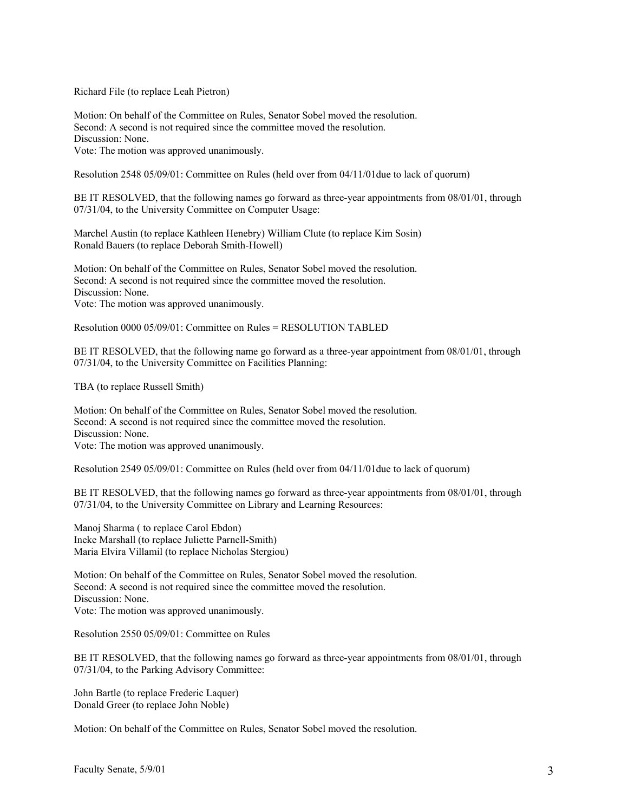Richard File (to replace Leah Pietron)

Motion: On behalf of the Committee on Rules, Senator Sobel moved the resolution. Second: A second is not required since the committee moved the resolution. Discussion: None. Vote: The motion was approved unanimously.

Resolution 2548 05/09/01: Committee on Rules (held over from 04/11/01due to lack of quorum)

BE IT RESOLVED, that the following names go forward as three-year appointments from 08/01/01, through 07/31/04, to the University Committee on Computer Usage:

Marchel Austin (to replace Kathleen Henebry) William Clute (to replace Kim Sosin) Ronald Bauers (to replace Deborah Smith-Howell)

Motion: On behalf of the Committee on Rules, Senator Sobel moved the resolution. Second: A second is not required since the committee moved the resolution. Discussion: None. Vote: The motion was approved unanimously.

Resolution 0000 05/09/01: Committee on Rules = RESOLUTION TABLED

BE IT RESOLVED, that the following name go forward as a three-year appointment from 08/01/01, through 07/31/04, to the University Committee on Facilities Planning:

TBA (to replace Russell Smith)

Motion: On behalf of the Committee on Rules, Senator Sobel moved the resolution. Second: A second is not required since the committee moved the resolution. Discussion: None. Vote: The motion was approved unanimously.

Resolution 2549 05/09/01: Committee on Rules (held over from 04/11/01due to lack of quorum)

BE IT RESOLVED, that the following names go forward as three-year appointments from 08/01/01, through 07/31/04, to the University Committee on Library and Learning Resources:

Manoj Sharma ( to replace Carol Ebdon) Ineke Marshall (to replace Juliette Parnell-Smith) Maria Elvira Villamil (to replace Nicholas Stergiou)

Motion: On behalf of the Committee on Rules, Senator Sobel moved the resolution. Second: A second is not required since the committee moved the resolution. Discussion: None. Vote: The motion was approved unanimously.

Resolution 2550 05/09/01: Committee on Rules

BE IT RESOLVED, that the following names go forward as three-year appointments from 08/01/01, through 07/31/04, to the Parking Advisory Committee:

John Bartle (to replace Frederic Laquer) Donald Greer (to replace John Noble)

Motion: On behalf of the Committee on Rules, Senator Sobel moved the resolution.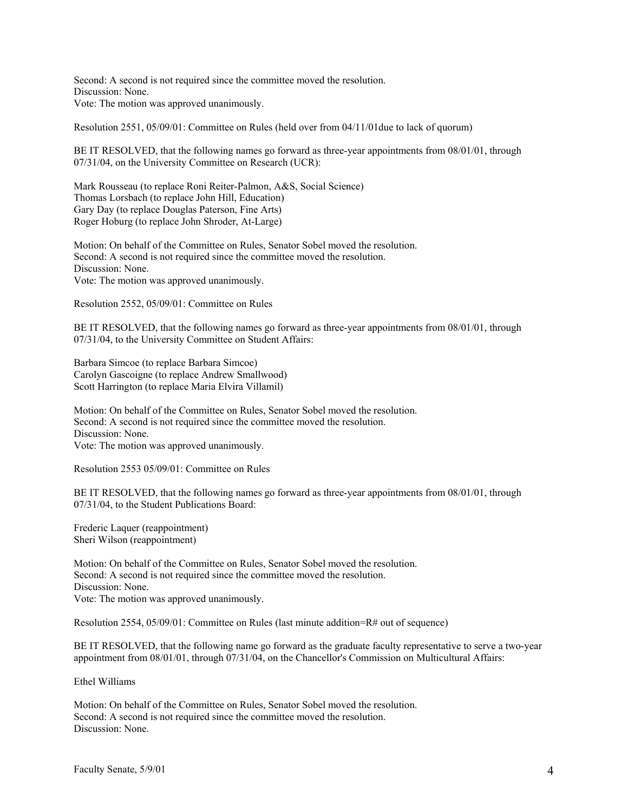Second: A second is not required since the committee moved the resolution. Discussion: None. Vote: The motion was approved unanimously.

Resolution 2551, 05/09/01: Committee on Rules (held over from 04/11/01due to lack of quorum)

BE IT RESOLVED, that the following names go forward as three-year appointments from 08/01/01, through 07/31/04, on the University Committee on Research (UCR):

Mark Rousseau (to replace Roni Reiter-Palmon, A&S, Social Science) Thomas Lorsbach (to replace John Hill, Education) Gary Day (to replace Douglas Paterson, Fine Arts) Roger Hoburg (to replace John Shroder, At-Large)

Motion: On behalf of the Committee on Rules, Senator Sobel moved the resolution. Second: A second is not required since the committee moved the resolution. Discussion: None. Vote: The motion was approved unanimously.

Resolution 2552, 05/09/01: Committee on Rules

BE IT RESOLVED, that the following names go forward as three-year appointments from 08/01/01, through 07/31/04, to the University Committee on Student Affairs:

Barbara Simcoe (to replace Barbara Simcoe) Carolyn Gascoigne (to replace Andrew Smallwood) Scott Harrington (to replace Maria Elvira Villamil)

Motion: On behalf of the Committee on Rules, Senator Sobel moved the resolution. Second: A second is not required since the committee moved the resolution. Discussion: None. Vote: The motion was approved unanimously.

Resolution 2553 05/09/01: Committee on Rules

BE IT RESOLVED, that the following names go forward as three-year appointments from 08/01/01, through 07/31/04, to the Student Publications Board:

Frederic Laquer (reappointment) Sheri Wilson (reappointment)

Motion: On behalf of the Committee on Rules, Senator Sobel moved the resolution. Second: A second is not required since the committee moved the resolution. Discussion: None. Vote: The motion was approved unanimously.

Resolution 2554, 05/09/01: Committee on Rules (last minute addition=R# out of sequence)

BE IT RESOLVED, that the following name go forward as the graduate faculty representative to serve a two-year appointment from 08/01/01, through 07/31/04, on the Chancellor's Commission on Multicultural Affairs:

Ethel Williams

Motion: On behalf of the Committee on Rules, Senator Sobel moved the resolution. Second: A second is not required since the committee moved the resolution. Discussion: None.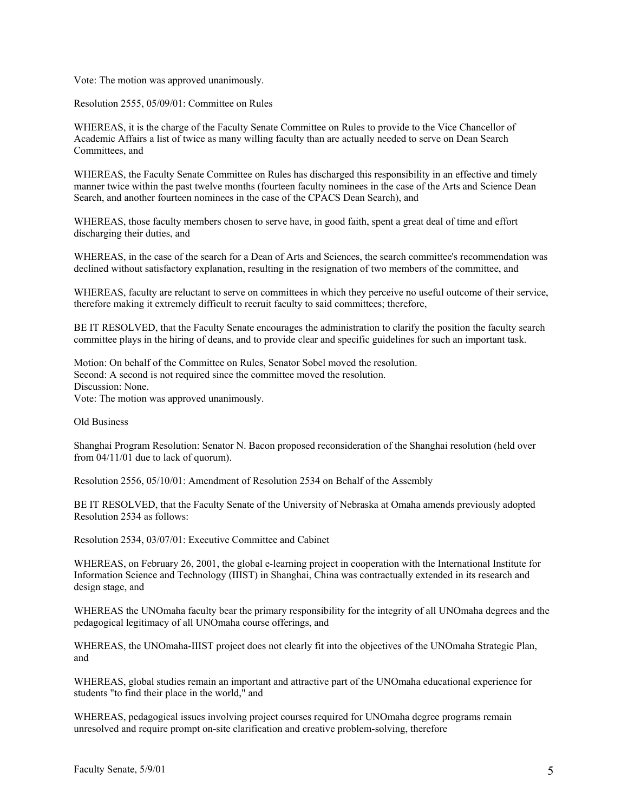Vote: The motion was approved unanimously.

Resolution 2555, 05/09/01: Committee on Rules

WHEREAS, it is the charge of the Faculty Senate Committee on Rules to provide to the Vice Chancellor of Academic Affairs a list of twice as many willing faculty than are actually needed to serve on Dean Search Committees, and

WHEREAS, the Faculty Senate Committee on Rules has discharged this responsibility in an effective and timely manner twice within the past twelve months (fourteen faculty nominees in the case of the Arts and Science Dean Search, and another fourteen nominees in the case of the CPACS Dean Search), and

WHEREAS, those faculty members chosen to serve have, in good faith, spent a great deal of time and effort discharging their duties, and

WHEREAS, in the case of the search for a Dean of Arts and Sciences, the search committee's recommendation was declined without satisfactory explanation, resulting in the resignation of two members of the committee, and

WHEREAS, faculty are reluctant to serve on committees in which they perceive no useful outcome of their service, therefore making it extremely difficult to recruit faculty to said committees; therefore,

BE IT RESOLVED, that the Faculty Senate encourages the administration to clarify the position the faculty search committee plays in the hiring of deans, and to provide clear and specific guidelines for such an important task.

Motion: On behalf of the Committee on Rules, Senator Sobel moved the resolution. Second: A second is not required since the committee moved the resolution. Discussion: None. Vote: The motion was approved unanimously.

Old Business

Shanghai Program Resolution: Senator N. Bacon proposed reconsideration of the Shanghai resolution (held over from 04/11/01 due to lack of quorum).

Resolution 2556, 05/10/01: Amendment of Resolution 2534 on Behalf of the Assembly

BE IT RESOLVED, that the Faculty Senate of the University of Nebraska at Omaha amends previously adopted Resolution 2534 as follows:

Resolution 2534, 03/07/01: Executive Committee and Cabinet

WHEREAS, on February 26, 2001, the global e-learning project in cooperation with the International Institute for Information Science and Technology (IIIST) in Shanghai, China was contractually extended in its research and design stage, and

WHEREAS the UNOmaha faculty bear the primary responsibility for the integrity of all UNOmaha degrees and the pedagogical legitimacy of all UNOmaha course offerings, and

WHEREAS, the UNOmaha-IIIST project does not clearly fit into the objectives of the UNOmaha Strategic Plan, and

WHEREAS, global studies remain an important and attractive part of the UNOmaha educational experience for students "to find their place in the world," and

WHEREAS, pedagogical issues involving project courses required for UNOmaha degree programs remain unresolved and require prompt on-site clarification and creative problem-solving, therefore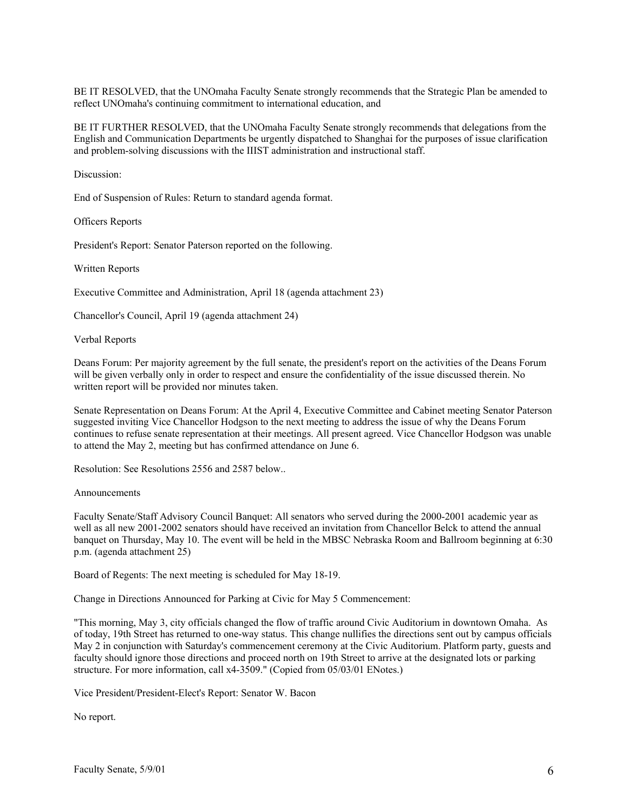BE IT RESOLVED, that the UNOmaha Faculty Senate strongly recommends that the Strategic Plan be amended to reflect UNOmaha's continuing commitment to international education, and

BE IT FURTHER RESOLVED, that the UNOmaha Faculty Senate strongly recommends that delegations from the English and Communication Departments be urgently dispatched to Shanghai for the purposes of issue clarification and problem-solving discussions with the IIIST administration and instructional staff.

Discussion:

End of Suspension of Rules: Return to standard agenda format.

Officers Reports

President's Report: Senator Paterson reported on the following.

Written Reports

Executive Committee and Administration, April 18 (agenda attachment 23)

Chancellor's Council, April 19 (agenda attachment 24)

Verbal Reports

Deans Forum: Per majority agreement by the full senate, the president's report on the activities of the Deans Forum will be given verbally only in order to respect and ensure the confidentiality of the issue discussed therein. No written report will be provided nor minutes taken.

Senate Representation on Deans Forum: At the April 4, Executive Committee and Cabinet meeting Senator Paterson suggested inviting Vice Chancellor Hodgson to the next meeting to address the issue of why the Deans Forum continues to refuse senate representation at their meetings. All present agreed. Vice Chancellor Hodgson was unable to attend the May 2, meeting but has confirmed attendance on June 6.

Resolution: See Resolutions 2556 and 2587 below..

Announcements

Faculty Senate/Staff Advisory Council Banquet: All senators who served during the 2000-2001 academic year as well as all new 2001-2002 senators should have received an invitation from Chancellor Belck to attend the annual banquet on Thursday, May 10. The event will be held in the MBSC Nebraska Room and Ballroom beginning at 6:30 p.m. (agenda attachment 25)

Board of Regents: The next meeting is scheduled for May 18-19.

Change in Directions Announced for Parking at Civic for May 5 Commencement:

"This morning, May 3, city officials changed the flow of traffic around Civic Auditorium in downtown Omaha. As of today, 19th Street has returned to one-way status. This change nullifies the directions sent out by campus officials May 2 in conjunction with Saturday's commencement ceremony at the Civic Auditorium. Platform party, guests and faculty should ignore those directions and proceed north on 19th Street to arrive at the designated lots or parking structure. For more information, call x4-3509." (Copied from 05/03/01 ENotes.)

Vice President/President-Elect's Report: Senator W. Bacon

No report.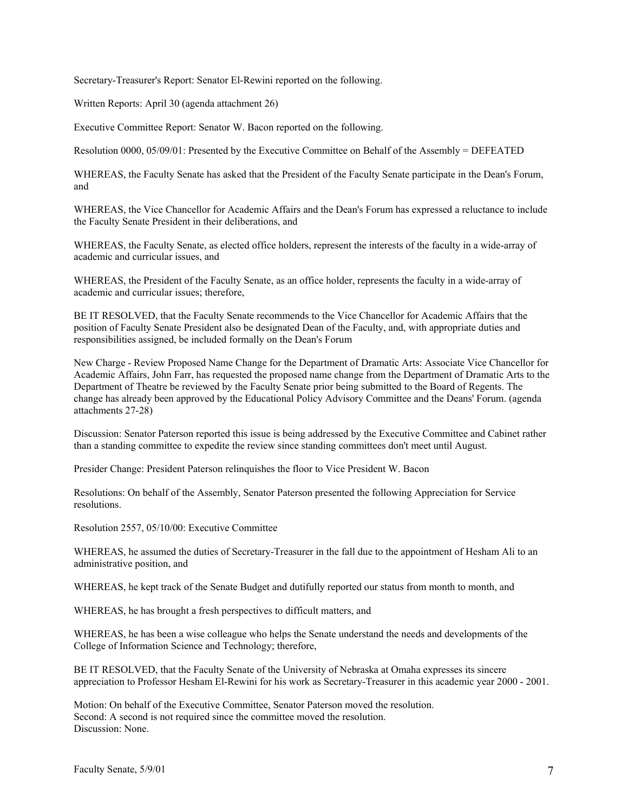Secretary-Treasurer's Report: Senator El-Rewini reported on the following.

Written Reports: April 30 (agenda attachment 26)

Executive Committee Report: Senator W. Bacon reported on the following.

Resolution 0000, 05/09/01: Presented by the Executive Committee on Behalf of the Assembly = DEFEATED

WHEREAS, the Faculty Senate has asked that the President of the Faculty Senate participate in the Dean's Forum, and

WHEREAS, the Vice Chancellor for Academic Affairs and the Dean's Forum has expressed a reluctance to include the Faculty Senate President in their deliberations, and

WHEREAS, the Faculty Senate, as elected office holders, represent the interests of the faculty in a wide-array of academic and curricular issues, and

WHEREAS, the President of the Faculty Senate, as an office holder, represents the faculty in a wide-array of academic and curricular issues; therefore,

BE IT RESOLVED, that the Faculty Senate recommends to the Vice Chancellor for Academic Affairs that the position of Faculty Senate President also be designated Dean of the Faculty, and, with appropriate duties and responsibilities assigned, be included formally on the Dean's Forum

New Charge - Review Proposed Name Change for the Department of Dramatic Arts: Associate Vice Chancellor for Academic Affairs, John Farr, has requested the proposed name change from the Department of Dramatic Arts to the Department of Theatre be reviewed by the Faculty Senate prior being submitted to the Board of Regents. The change has already been approved by the Educational Policy Advisory Committee and the Deans' Forum. (agenda attachments 27-28)

Discussion: Senator Paterson reported this issue is being addressed by the Executive Committee and Cabinet rather than a standing committee to expedite the review since standing committees don't meet until August.

Presider Change: President Paterson relinquishes the floor to Vice President W. Bacon

Resolutions: On behalf of the Assembly, Senator Paterson presented the following Appreciation for Service resolutions.

Resolution 2557, 05/10/00: Executive Committee

WHEREAS, he assumed the duties of Secretary-Treasurer in the fall due to the appointment of Hesham Ali to an administrative position, and

WHEREAS, he kept track of the Senate Budget and dutifully reported our status from month to month, and

WHEREAS, he has brought a fresh perspectives to difficult matters, and

WHEREAS, he has been a wise colleague who helps the Senate understand the needs and developments of the College of Information Science and Technology; therefore,

BE IT RESOLVED, that the Faculty Senate of the University of Nebraska at Omaha expresses its sincere appreciation to Professor Hesham El-Rewini for his work as Secretary-Treasurer in this academic year 2000 - 2001.

Motion: On behalf of the Executive Committee, Senator Paterson moved the resolution. Second: A second is not required since the committee moved the resolution. Discussion: None.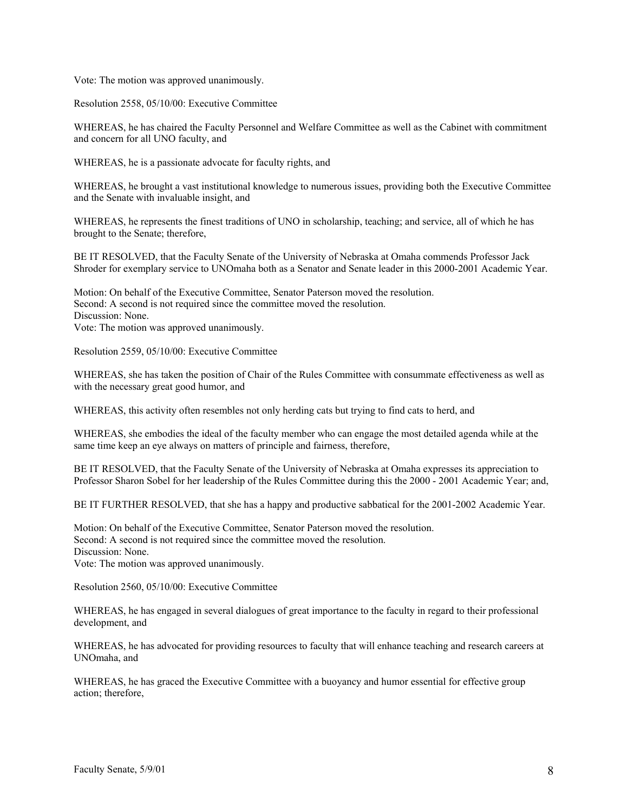Vote: The motion was approved unanimously.

Resolution 2558, 05/10/00: Executive Committee

WHEREAS, he has chaired the Faculty Personnel and Welfare Committee as well as the Cabinet with commitment and concern for all UNO faculty, and

WHEREAS, he is a passionate advocate for faculty rights, and

WHEREAS, he brought a vast institutional knowledge to numerous issues, providing both the Executive Committee and the Senate with invaluable insight, and

WHEREAS, he represents the finest traditions of UNO in scholarship, teaching; and service, all of which he has brought to the Senate; therefore,

BE IT RESOLVED, that the Faculty Senate of the University of Nebraska at Omaha commends Professor Jack Shroder for exemplary service to UNOmaha both as a Senator and Senate leader in this 2000-2001 Academic Year.

Motion: On behalf of the Executive Committee, Senator Paterson moved the resolution. Second: A second is not required since the committee moved the resolution. Discussion: None. Vote: The motion was approved unanimously.

Resolution 2559, 05/10/00: Executive Committee

WHEREAS, she has taken the position of Chair of the Rules Committee with consummate effectiveness as well as with the necessary great good humor, and

WHEREAS, this activity often resembles not only herding cats but trying to find cats to herd, and

WHEREAS, she embodies the ideal of the faculty member who can engage the most detailed agenda while at the same time keep an eye always on matters of principle and fairness, therefore,

BE IT RESOLVED, that the Faculty Senate of the University of Nebraska at Omaha expresses its appreciation to Professor Sharon Sobel for her leadership of the Rules Committee during this the 2000 - 2001 Academic Year; and,

BE IT FURTHER RESOLVED, that she has a happy and productive sabbatical for the 2001-2002 Academic Year.

Motion: On behalf of the Executive Committee, Senator Paterson moved the resolution. Second: A second is not required since the committee moved the resolution. Discussion: None. Vote: The motion was approved unanimously.

Resolution 2560, 05/10/00: Executive Committee

WHEREAS, he has engaged in several dialogues of great importance to the faculty in regard to their professional development, and

WHEREAS, he has advocated for providing resources to faculty that will enhance teaching and research careers at UNOmaha, and

WHEREAS, he has graced the Executive Committee with a buoyancy and humor essential for effective group action; therefore,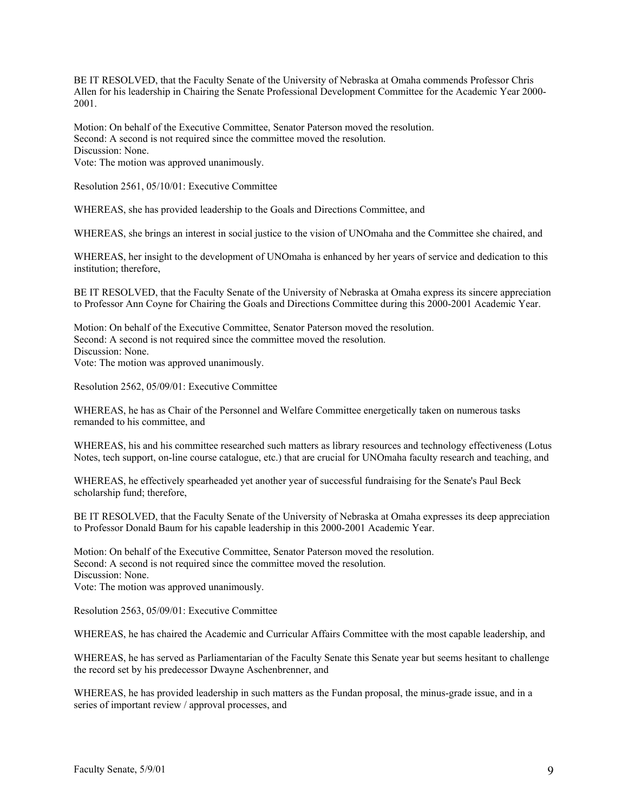BE IT RESOLVED, that the Faculty Senate of the University of Nebraska at Omaha commends Professor Chris Allen for his leadership in Chairing the Senate Professional Development Committee for the Academic Year 2000- 2001.

Motion: On behalf of the Executive Committee, Senator Paterson moved the resolution. Second: A second is not required since the committee moved the resolution. Discussion: None. Vote: The motion was approved unanimously.

Resolution 2561, 05/10/01: Executive Committee

WHEREAS, she has provided leadership to the Goals and Directions Committee, and

WHEREAS, she brings an interest in social justice to the vision of UNOmaha and the Committee she chaired, and

WHEREAS, her insight to the development of UNOmaha is enhanced by her years of service and dedication to this institution; therefore,

BE IT RESOLVED, that the Faculty Senate of the University of Nebraska at Omaha express its sincere appreciation to Professor Ann Coyne for Chairing the Goals and Directions Committee during this 2000-2001 Academic Year.

Motion: On behalf of the Executive Committee, Senator Paterson moved the resolution. Second: A second is not required since the committee moved the resolution. Discussion: None. Vote: The motion was approved unanimously.

Resolution 2562, 05/09/01: Executive Committee

WHEREAS, he has as Chair of the Personnel and Welfare Committee energetically taken on numerous tasks remanded to his committee, and

WHEREAS, his and his committee researched such matters as library resources and technology effectiveness (Lotus Notes, tech support, on-line course catalogue, etc.) that are crucial for UNOmaha faculty research and teaching, and

WHEREAS, he effectively spearheaded yet another year of successful fundraising for the Senate's Paul Beck scholarship fund; therefore,

BE IT RESOLVED, that the Faculty Senate of the University of Nebraska at Omaha expresses its deep appreciation to Professor Donald Baum for his capable leadership in this 2000-2001 Academic Year.

Motion: On behalf of the Executive Committee, Senator Paterson moved the resolution. Second: A second is not required since the committee moved the resolution. Discussion: None. Vote: The motion was approved unanimously.

Resolution 2563, 05/09/01: Executive Committee

WHEREAS, he has chaired the Academic and Curricular Affairs Committee with the most capable leadership, and

WHEREAS, he has served as Parliamentarian of the Faculty Senate this Senate year but seems hesitant to challenge the record set by his predecessor Dwayne Aschenbrenner, and

WHEREAS, he has provided leadership in such matters as the Fundan proposal, the minus-grade issue, and in a series of important review / approval processes, and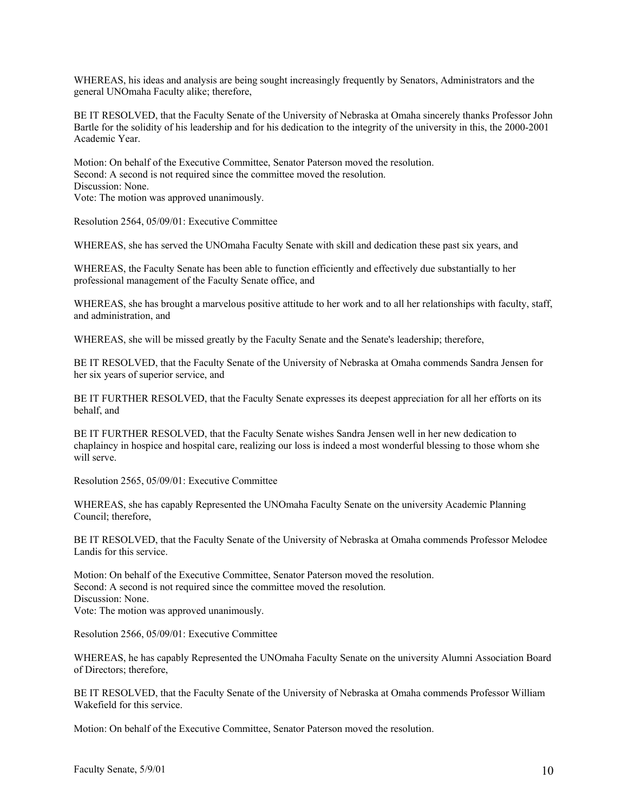WHEREAS, his ideas and analysis are being sought increasingly frequently by Senators, Administrators and the general UNOmaha Faculty alike; therefore,

BE IT RESOLVED, that the Faculty Senate of the University of Nebraska at Omaha sincerely thanks Professor John Bartle for the solidity of his leadership and for his dedication to the integrity of the university in this, the 2000-2001 Academic Year.

Motion: On behalf of the Executive Committee, Senator Paterson moved the resolution. Second: A second is not required since the committee moved the resolution. Discussion: None. Vote: The motion was approved unanimously.

Resolution 2564, 05/09/01: Executive Committee

WHEREAS, she has served the UNOmaha Faculty Senate with skill and dedication these past six years, and

WHEREAS, the Faculty Senate has been able to function efficiently and effectively due substantially to her professional management of the Faculty Senate office, and

WHEREAS, she has brought a marvelous positive attitude to her work and to all her relationships with faculty, staff, and administration, and

WHEREAS, she will be missed greatly by the Faculty Senate and the Senate's leadership; therefore,

BE IT RESOLVED, that the Faculty Senate of the University of Nebraska at Omaha commends Sandra Jensen for her six years of superior service, and

BE IT FURTHER RESOLVED, that the Faculty Senate expresses its deepest appreciation for all her efforts on its behalf, and

BE IT FURTHER RESOLVED, that the Faculty Senate wishes Sandra Jensen well in her new dedication to chaplaincy in hospice and hospital care, realizing our loss is indeed a most wonderful blessing to those whom she will serve.

Resolution 2565, 05/09/01: Executive Committee

WHEREAS, she has capably Represented the UNOmaha Faculty Senate on the university Academic Planning Council; therefore,

BE IT RESOLVED, that the Faculty Senate of the University of Nebraska at Omaha commends Professor Melodee Landis for this service.

Motion: On behalf of the Executive Committee, Senator Paterson moved the resolution. Second: A second is not required since the committee moved the resolution. Discussion: None. Vote: The motion was approved unanimously.

Resolution 2566, 05/09/01: Executive Committee

WHEREAS, he has capably Represented the UNOmaha Faculty Senate on the university Alumni Association Board of Directors; therefore,

BE IT RESOLVED, that the Faculty Senate of the University of Nebraska at Omaha commends Professor William Wakefield for this service.

Motion: On behalf of the Executive Committee, Senator Paterson moved the resolution.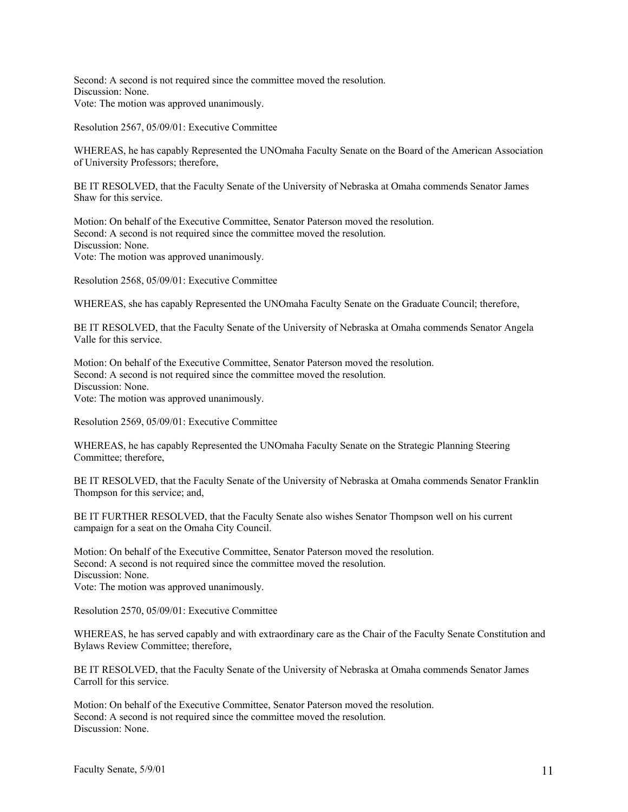Second: A second is not required since the committee moved the resolution. Discussion: None. Vote: The motion was approved unanimously.

Resolution 2567, 05/09/01: Executive Committee

WHEREAS, he has capably Represented the UNOmaha Faculty Senate on the Board of the American Association of University Professors; therefore,

BE IT RESOLVED, that the Faculty Senate of the University of Nebraska at Omaha commends Senator James Shaw for this service.

Motion: On behalf of the Executive Committee, Senator Paterson moved the resolution. Second: A second is not required since the committee moved the resolution. Discussion: None. Vote: The motion was approved unanimously.

Resolution 2568, 05/09/01: Executive Committee

WHEREAS, she has capably Represented the UNOmaha Faculty Senate on the Graduate Council; therefore,

BE IT RESOLVED, that the Faculty Senate of the University of Nebraska at Omaha commends Senator Angela Valle for this service.

Motion: On behalf of the Executive Committee, Senator Paterson moved the resolution. Second: A second is not required since the committee moved the resolution. Discussion: None. Vote: The motion was approved unanimously.

Resolution 2569, 05/09/01: Executive Committee

WHEREAS, he has capably Represented the UNOmaha Faculty Senate on the Strategic Planning Steering Committee; therefore,

BE IT RESOLVED, that the Faculty Senate of the University of Nebraska at Omaha commends Senator Franklin Thompson for this service; and,

BE IT FURTHER RESOLVED, that the Faculty Senate also wishes Senator Thompson well on his current campaign for a seat on the Omaha City Council.

Motion: On behalf of the Executive Committee, Senator Paterson moved the resolution. Second: A second is not required since the committee moved the resolution. Discussion: None. Vote: The motion was approved unanimously.

Resolution 2570, 05/09/01: Executive Committee

WHEREAS, he has served capably and with extraordinary care as the Chair of the Faculty Senate Constitution and Bylaws Review Committee; therefore,

BE IT RESOLVED, that the Faculty Senate of the University of Nebraska at Omaha commends Senator James Carroll for this service.

Motion: On behalf of the Executive Committee, Senator Paterson moved the resolution. Second: A second is not required since the committee moved the resolution. Discussion: None.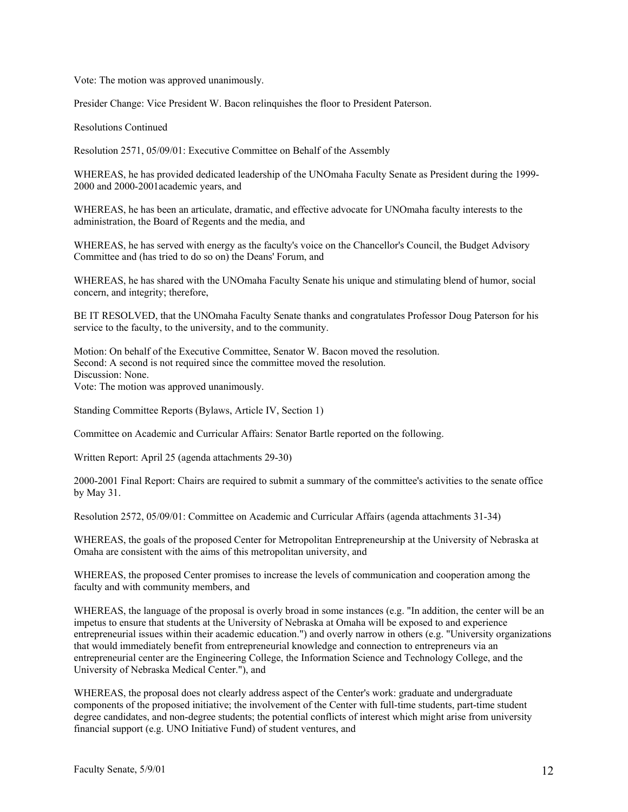Vote: The motion was approved unanimously.

Presider Change: Vice President W. Bacon relinquishes the floor to President Paterson.

Resolutions Continued

Resolution 2571, 05/09/01: Executive Committee on Behalf of the Assembly

WHEREAS, he has provided dedicated leadership of the UNOmaha Faculty Senate as President during the 1999- 2000 and 2000-2001academic years, and

WHEREAS, he has been an articulate, dramatic, and effective advocate for UNOmaha faculty interests to the administration, the Board of Regents and the media, and

WHEREAS, he has served with energy as the faculty's voice on the Chancellor's Council, the Budget Advisory Committee and (has tried to do so on) the Deans' Forum, and

WHEREAS, he has shared with the UNOmaha Faculty Senate his unique and stimulating blend of humor, social concern, and integrity; therefore,

BE IT RESOLVED, that the UNOmaha Faculty Senate thanks and congratulates Professor Doug Paterson for his service to the faculty, to the university, and to the community.

Motion: On behalf of the Executive Committee, Senator W. Bacon moved the resolution. Second: A second is not required since the committee moved the resolution. Discussion: None. Vote: The motion was approved unanimously.

Standing Committee Reports (Bylaws, Article IV, Section 1)

Committee on Academic and Curricular Affairs: Senator Bartle reported on the following.

Written Report: April 25 (agenda attachments 29-30)

2000-2001 Final Report: Chairs are required to submit a summary of the committee's activities to the senate office by May 31.

Resolution 2572, 05/09/01: Committee on Academic and Curricular Affairs (agenda attachments 31-34)

WHEREAS, the goals of the proposed Center for Metropolitan Entrepreneurship at the University of Nebraska at Omaha are consistent with the aims of this metropolitan university, and

WHEREAS, the proposed Center promises to increase the levels of communication and cooperation among the faculty and with community members, and

WHEREAS, the language of the proposal is overly broad in some instances (e.g. "In addition, the center will be an impetus to ensure that students at the University of Nebraska at Omaha will be exposed to and experience entrepreneurial issues within their academic education.") and overly narrow in others (e.g. "University organizations that would immediately benefit from entrepreneurial knowledge and connection to entrepreneurs via an entrepreneurial center are the Engineering College, the Information Science and Technology College, and the University of Nebraska Medical Center."), and

WHEREAS, the proposal does not clearly address aspect of the Center's work: graduate and undergraduate components of the proposed initiative; the involvement of the Center with full-time students, part-time student degree candidates, and non-degree students; the potential conflicts of interest which might arise from university financial support (e.g. UNO Initiative Fund) of student ventures, and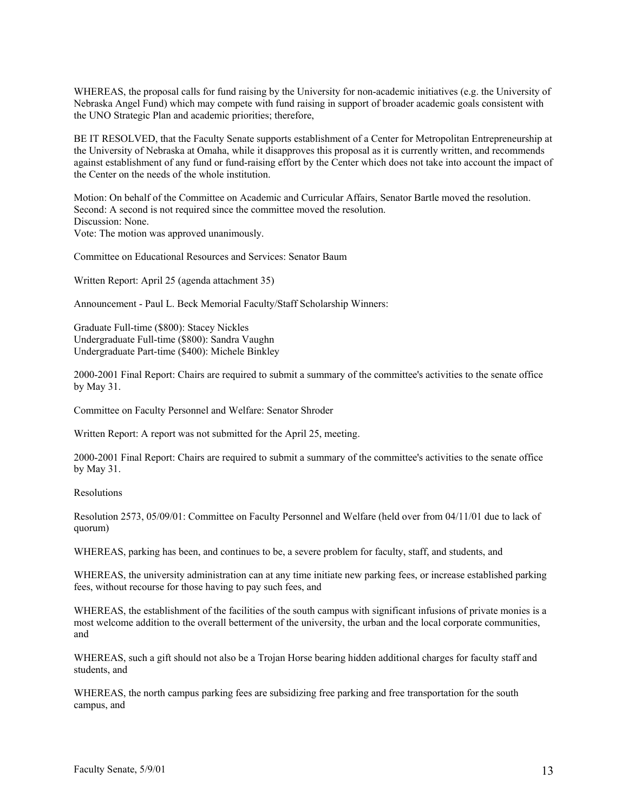WHEREAS, the proposal calls for fund raising by the University for non-academic initiatives (e.g. the University of Nebraska Angel Fund) which may compete with fund raising in support of broader academic goals consistent with the UNO Strategic Plan and academic priorities; therefore,

BE IT RESOLVED, that the Faculty Senate supports establishment of a Center for Metropolitan Entrepreneurship at the University of Nebraska at Omaha, while it disapproves this proposal as it is currently written, and recommends against establishment of any fund or fund-raising effort by the Center which does not take into account the impact of the Center on the needs of the whole institution.

Motion: On behalf of the Committee on Academic and Curricular Affairs, Senator Bartle moved the resolution. Second: A second is not required since the committee moved the resolution. Discussion: None. Vote: The motion was approved unanimously.

Committee on Educational Resources and Services: Senator Baum

Written Report: April 25 (agenda attachment 35)

Announcement - Paul L. Beck Memorial Faculty/Staff Scholarship Winners:

Graduate Full-time (\$800): Stacey Nickles Undergraduate Full-time (\$800): Sandra Vaughn Undergraduate Part-time (\$400): Michele Binkley

2000-2001 Final Report: Chairs are required to submit a summary of the committee's activities to the senate office by May 31.

Committee on Faculty Personnel and Welfare: Senator Shroder

Written Report: A report was not submitted for the April 25, meeting.

2000-2001 Final Report: Chairs are required to submit a summary of the committee's activities to the senate office by May 31.

Resolutions

Resolution 2573, 05/09/01: Committee on Faculty Personnel and Welfare (held over from 04/11/01 due to lack of quorum)

WHEREAS, parking has been, and continues to be, a severe problem for faculty, staff, and students, and

WHEREAS, the university administration can at any time initiate new parking fees, or increase established parking fees, without recourse for those having to pay such fees, and

WHEREAS, the establishment of the facilities of the south campus with significant infusions of private monies is a most welcome addition to the overall betterment of the university, the urban and the local corporate communities, and

WHEREAS, such a gift should not also be a Trojan Horse bearing hidden additional charges for faculty staff and students, and

WHEREAS, the north campus parking fees are subsidizing free parking and free transportation for the south campus, and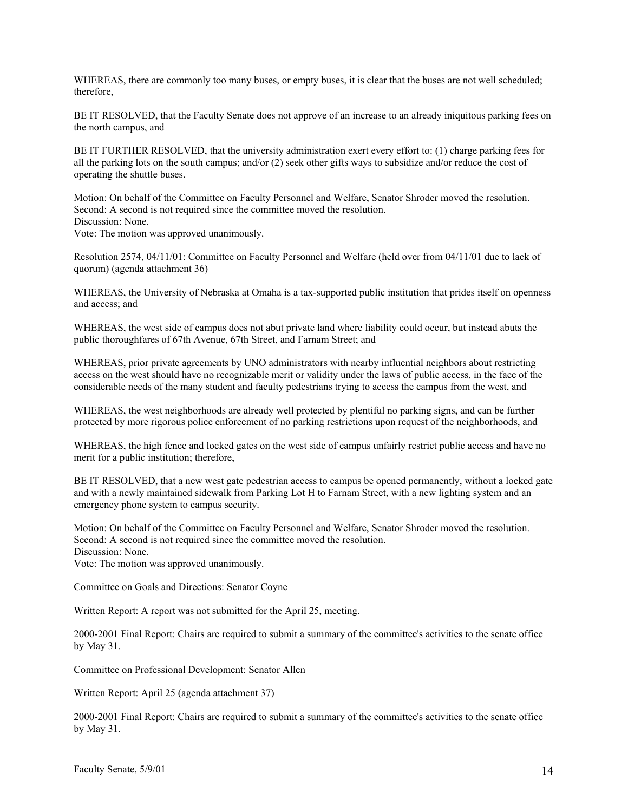WHEREAS, there are commonly too many buses, or empty buses, it is clear that the buses are not well scheduled; therefore,

BE IT RESOLVED, that the Faculty Senate does not approve of an increase to an already iniquitous parking fees on the north campus, and

BE IT FURTHER RESOLVED, that the university administration exert every effort to: (1) charge parking fees for all the parking lots on the south campus; and/or (2) seek other gifts ways to subsidize and/or reduce the cost of operating the shuttle buses.

Motion: On behalf of the Committee on Faculty Personnel and Welfare, Senator Shroder moved the resolution. Second: A second is not required since the committee moved the resolution. Discussion: None.

Vote: The motion was approved unanimously.

Resolution 2574, 04/11/01: Committee on Faculty Personnel and Welfare (held over from 04/11/01 due to lack of quorum) (agenda attachment 36)

WHEREAS, the University of Nebraska at Omaha is a tax-supported public institution that prides itself on openness and access; and

WHEREAS, the west side of campus does not abut private land where liability could occur, but instead abuts the public thoroughfares of 67th Avenue, 67th Street, and Farnam Street; and

WHEREAS, prior private agreements by UNO administrators with nearby influential neighbors about restricting access on the west should have no recognizable merit or validity under the laws of public access, in the face of the considerable needs of the many student and faculty pedestrians trying to access the campus from the west, and

WHEREAS, the west neighborhoods are already well protected by plentiful no parking signs, and can be further protected by more rigorous police enforcement of no parking restrictions upon request of the neighborhoods, and

WHEREAS, the high fence and locked gates on the west side of campus unfairly restrict public access and have no merit for a public institution; therefore,

BE IT RESOLVED, that a new west gate pedestrian access to campus be opened permanently, without a locked gate and with a newly maintained sidewalk from Parking Lot H to Farnam Street, with a new lighting system and an emergency phone system to campus security.

Motion: On behalf of the Committee on Faculty Personnel and Welfare, Senator Shroder moved the resolution. Second: A second is not required since the committee moved the resolution. Discussion: None.

Vote: The motion was approved unanimously.

Committee on Goals and Directions: Senator Coyne

Written Report: A report was not submitted for the April 25, meeting.

2000-2001 Final Report: Chairs are required to submit a summary of the committee's activities to the senate office by May 31.

Committee on Professional Development: Senator Allen

Written Report: April 25 (agenda attachment 37)

2000-2001 Final Report: Chairs are required to submit a summary of the committee's activities to the senate office by May 31.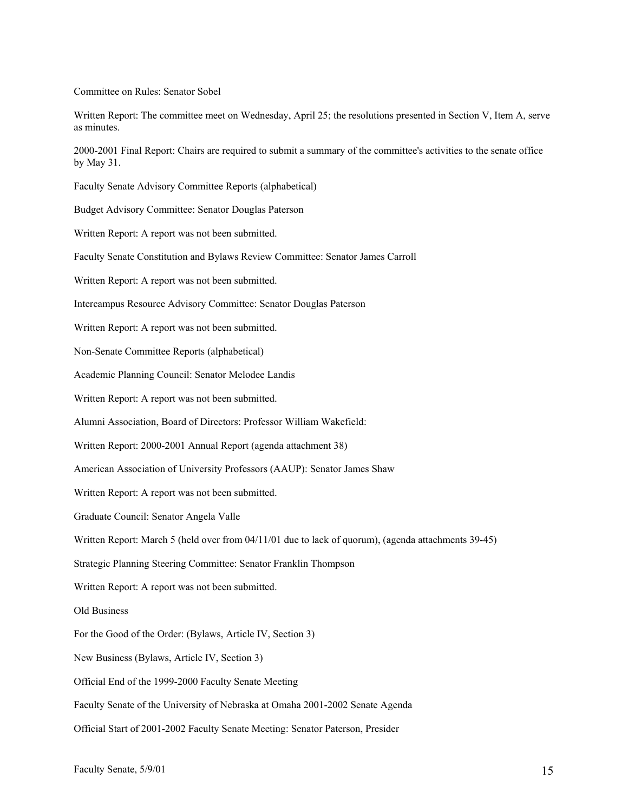Committee on Rules: Senator Sobel

Written Report: The committee meet on Wednesday, April 25; the resolutions presented in Section V, Item A, serve as minutes.

2000-2001 Final Report: Chairs are required to submit a summary of the committee's activities to the senate office by May 31.

Faculty Senate Advisory Committee Reports (alphabetical)

Budget Advisory Committee: Senator Douglas Paterson

Written Report: A report was not been submitted.

Faculty Senate Constitution and Bylaws Review Committee: Senator James Carroll

Written Report: A report was not been submitted.

Intercampus Resource Advisory Committee: Senator Douglas Paterson

Written Report: A report was not been submitted.

Non-Senate Committee Reports (alphabetical)

Academic Planning Council: Senator Melodee Landis

Written Report: A report was not been submitted.

Alumni Association, Board of Directors: Professor William Wakefield:

Written Report: 2000-2001 Annual Report (agenda attachment 38)

American Association of University Professors (AAUP): Senator James Shaw

Written Report: A report was not been submitted.

Graduate Council: Senator Angela Valle

Written Report: March 5 (held over from 04/11/01 due to lack of quorum), (agenda attachments 39-45)

Strategic Planning Steering Committee: Senator Franklin Thompson

Written Report: A report was not been submitted.

Old Business

For the Good of the Order: (Bylaws, Article IV, Section 3)

New Business (Bylaws, Article IV, Section 3)

Official End of the 1999-2000 Faculty Senate Meeting

Faculty Senate of the University of Nebraska at Omaha 2001-2002 Senate Agenda

Official Start of 2001-2002 Faculty Senate Meeting: Senator Paterson, Presider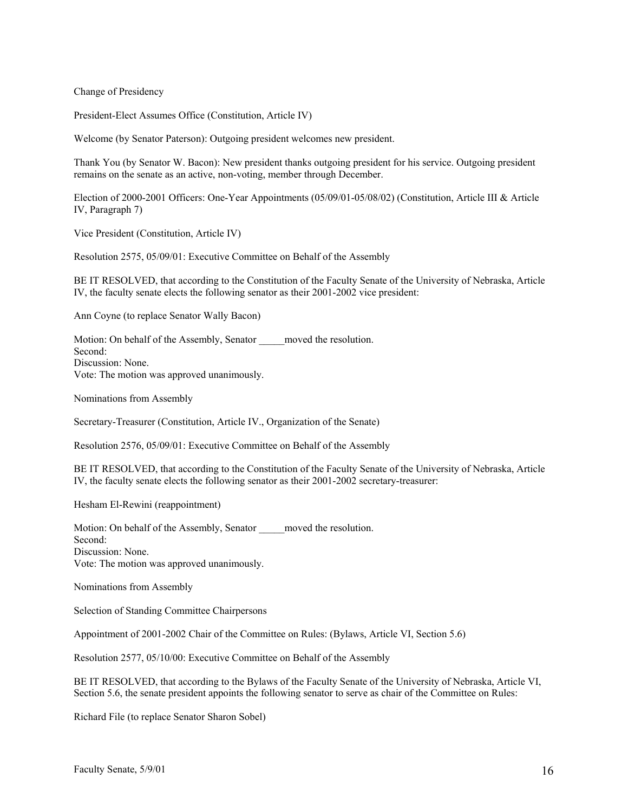Change of Presidency

President-Elect Assumes Office (Constitution, Article IV)

Welcome (by Senator Paterson): Outgoing president welcomes new president.

Thank You (by Senator W. Bacon): New president thanks outgoing president for his service. Outgoing president remains on the senate as an active, non-voting, member through December.

Election of 2000-2001 Officers: One-Year Appointments (05/09/01-05/08/02) (Constitution, Article III & Article IV, Paragraph 7)

Vice President (Constitution, Article IV)

Resolution 2575, 05/09/01: Executive Committee on Behalf of the Assembly

BE IT RESOLVED, that according to the Constitution of the Faculty Senate of the University of Nebraska, Article IV, the faculty senate elects the following senator as their 2001-2002 vice president:

Ann Coyne (to replace Senator Wally Bacon)

Motion: On behalf of the Assembly, Senator moved the resolution. Second: Discussion: None. Vote: The motion was approved unanimously.

Nominations from Assembly

Secretary-Treasurer (Constitution, Article IV., Organization of the Senate)

Resolution 2576, 05/09/01: Executive Committee on Behalf of the Assembly

BE IT RESOLVED, that according to the Constitution of the Faculty Senate of the University of Nebraska, Article IV, the faculty senate elects the following senator as their 2001-2002 secretary-treasurer:

Hesham El-Rewini (reappointment)

Motion: On behalf of the Assembly, Senator moved the resolution. Second: Discussion: None.

Vote: The motion was approved unanimously.

Nominations from Assembly

Selection of Standing Committee Chairpersons

Appointment of 2001-2002 Chair of the Committee on Rules: (Bylaws, Article VI, Section 5.6)

Resolution 2577, 05/10/00: Executive Committee on Behalf of the Assembly

BE IT RESOLVED, that according to the Bylaws of the Faculty Senate of the University of Nebraska, Article VI, Section 5.6, the senate president appoints the following senator to serve as chair of the Committee on Rules:

Richard File (to replace Senator Sharon Sobel)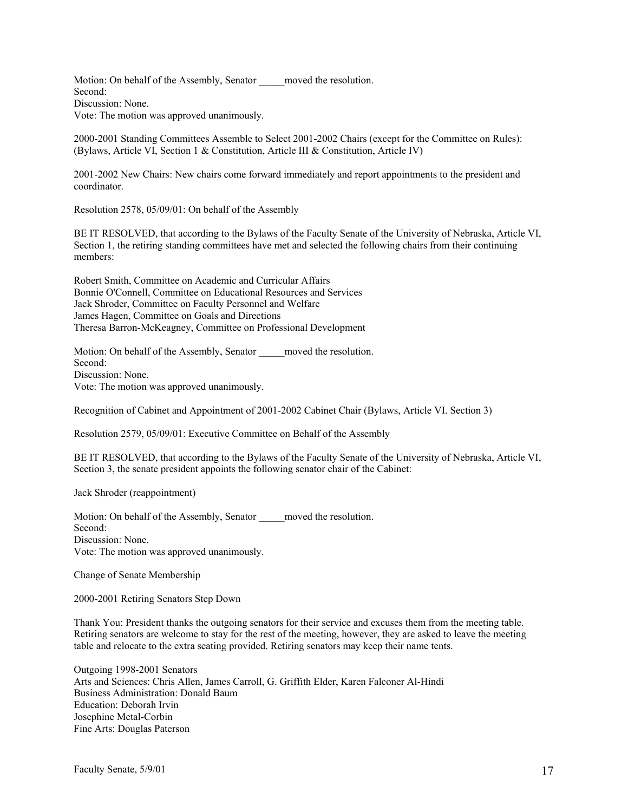Motion: On behalf of the Assembly, Senator moved the resolution. Second: Discussion: None. Vote: The motion was approved unanimously.

2000-2001 Standing Committees Assemble to Select 2001-2002 Chairs (except for the Committee on Rules): (Bylaws, Article VI, Section 1 & Constitution, Article III & Constitution, Article IV)

2001-2002 New Chairs: New chairs come forward immediately and report appointments to the president and coordinator.

Resolution 2578, 05/09/01: On behalf of the Assembly

BE IT RESOLVED, that according to the Bylaws of the Faculty Senate of the University of Nebraska, Article VI, Section 1, the retiring standing committees have met and selected the following chairs from their continuing members:

Robert Smith, Committee on Academic and Curricular Affairs Bonnie O'Connell, Committee on Educational Resources and Services Jack Shroder, Committee on Faculty Personnel and Welfare James Hagen, Committee on Goals and Directions Theresa Barron-McKeagney, Committee on Professional Development

Motion: On behalf of the Assembly, Senator moved the resolution. Second: Discussion: None. Vote: The motion was approved unanimously.

Recognition of Cabinet and Appointment of 2001-2002 Cabinet Chair (Bylaws, Article VI. Section 3)

Resolution 2579, 05/09/01: Executive Committee on Behalf of the Assembly

BE IT RESOLVED, that according to the Bylaws of the Faculty Senate of the University of Nebraska, Article VI, Section 3, the senate president appoints the following senator chair of the Cabinet:

Jack Shroder (reappointment)

Motion: On behalf of the Assembly, Senator moved the resolution. Second: Discussion: None. Vote: The motion was approved unanimously.

Change of Senate Membership

2000-2001 Retiring Senators Step Down

Thank You: President thanks the outgoing senators for their service and excuses them from the meeting table. Retiring senators are welcome to stay for the rest of the meeting, however, they are asked to leave the meeting table and relocate to the extra seating provided. Retiring senators may keep their name tents.

Outgoing 1998-2001 Senators Arts and Sciences: Chris Allen, James Carroll, G. Griffith Elder, Karen Falconer Al-Hindi Business Administration: Donald Baum Education: Deborah Irvin Josephine Metal-Corbin Fine Arts: Douglas Paterson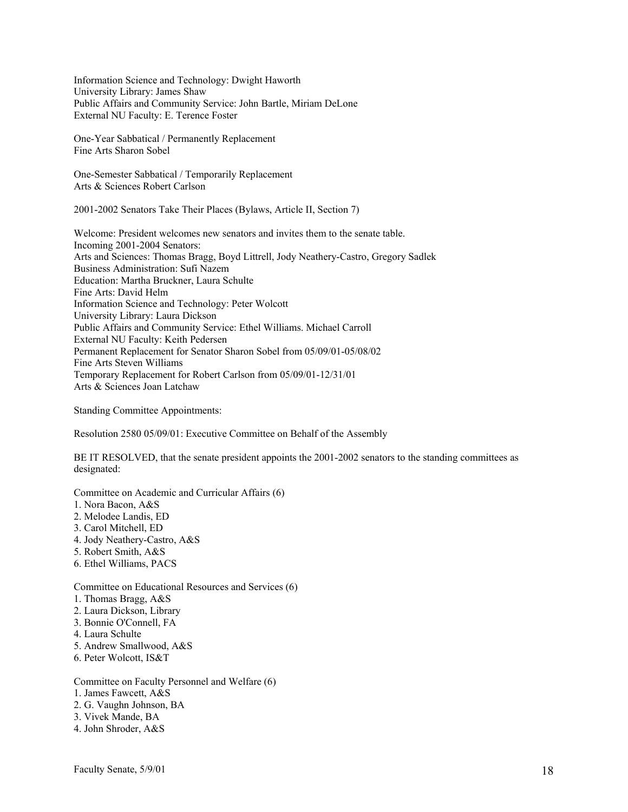Information Science and Technology: Dwight Haworth University Library: James Shaw Public Affairs and Community Service: John Bartle, Miriam DeLone External NU Faculty: E. Terence Foster

One-Year Sabbatical / Permanently Replacement Fine Arts Sharon Sobel

One-Semester Sabbatical / Temporarily Replacement Arts & Sciences Robert Carlson

2001-2002 Senators Take Their Places (Bylaws, Article II, Section 7)

Welcome: President welcomes new senators and invites them to the senate table. Incoming 2001-2004 Senators: Arts and Sciences: Thomas Bragg, Boyd Littrell, Jody Neathery-Castro, Gregory Sadlek Business Administration: Sufi Nazem Education: Martha Bruckner, Laura Schulte Fine Arts: David Helm Information Science and Technology: Peter Wolcott University Library: Laura Dickson Public Affairs and Community Service: Ethel Williams. Michael Carroll External NU Faculty: Keith Pedersen Permanent Replacement for Senator Sharon Sobel from 05/09/01-05/08/02 Fine Arts Steven Williams Temporary Replacement for Robert Carlson from 05/09/01-12/31/01 Arts & Sciences Joan Latchaw

Standing Committee Appointments:

Resolution 2580 05/09/01: Executive Committee on Behalf of the Assembly

BE IT RESOLVED, that the senate president appoints the 2001-2002 senators to the standing committees as designated:

Committee on Academic and Curricular Affairs (6)

- 1. Nora Bacon, A&S
- 2. Melodee Landis, ED
- 3. Carol Mitchell, ED
- 4. Jody Neathery-Castro, A&S
- 5. Robert Smith, A&S
- 6. Ethel Williams, PACS

Committee on Educational Resources and Services (6)

- 1. Thomas Bragg, A&S
- 2. Laura Dickson, Library
- 3. Bonnie O'Connell, FA
- 4. Laura Schulte
- 5. Andrew Smallwood, A&S
- 6. Peter Wolcott, IS&T

Committee on Faculty Personnel and Welfare (6)

- 1. James Fawcett, A&S
- 2. G. Vaughn Johnson, BA
- 3. Vivek Mande, BA
- 4. John Shroder, A&S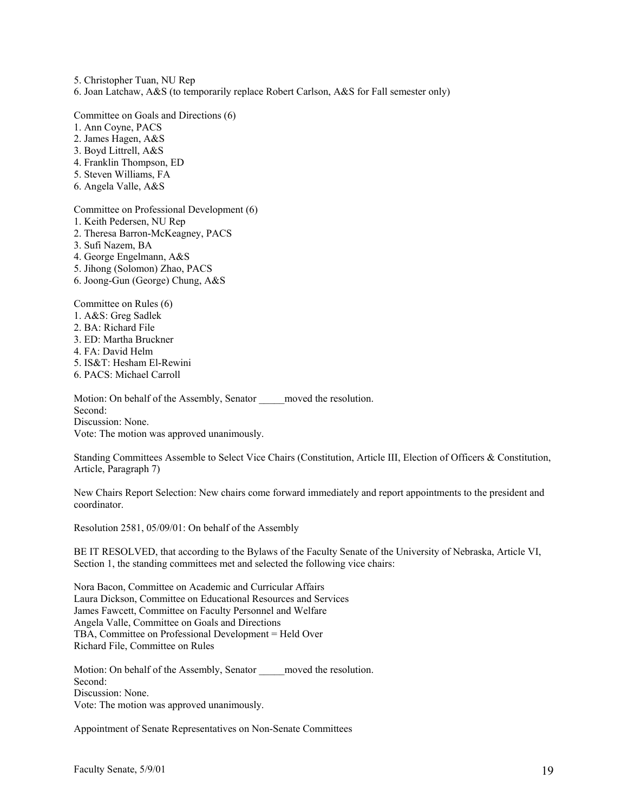5. Christopher Tuan, NU Rep 6. Joan Latchaw, A&S (to temporarily replace Robert Carlson, A&S for Fall semester only)

Committee on Goals and Directions (6)

- 1. Ann Coyne, PACS
- 2. James Hagen, A&S
- 3. Boyd Littrell, A&S
- 4. Franklin Thompson, ED
- 5. Steven Williams, FA
- 6. Angela Valle, A&S

Committee on Professional Development (6)

- 1. Keith Pedersen, NU Rep
- 2. Theresa Barron-McKeagney, PACS
- 3. Sufi Nazem, BA
- 4. George Engelmann, A&S
- 5. Jihong (Solomon) Zhao, PACS
- 6. Joong-Gun (George) Chung, A&S

Committee on Rules (6)

- 1. A&S: Greg Sadlek
- 2. BA: Richard File
- 3. ED: Martha Bruckner
- 4. FA: David Helm
- 5. IS&T: Hesham El-Rewini
- 6. PACS: Michael Carroll

Motion: On behalf of the Assembly, Senator \_\_\_\_\_moved the resolution. Second: Discussion: None. Vote: The motion was approved unanimously.

Standing Committees Assemble to Select Vice Chairs (Constitution, Article III, Election of Officers & Constitution, Article, Paragraph 7)

New Chairs Report Selection: New chairs come forward immediately and report appointments to the president and coordinator.

Resolution 2581, 05/09/01: On behalf of the Assembly

BE IT RESOLVED, that according to the Bylaws of the Faculty Senate of the University of Nebraska, Article VI, Section 1, the standing committees met and selected the following vice chairs:

Nora Bacon, Committee on Academic and Curricular Affairs Laura Dickson, Committee on Educational Resources and Services James Fawcett, Committee on Faculty Personnel and Welfare Angela Valle, Committee on Goals and Directions TBA, Committee on Professional Development = Held Over Richard File, Committee on Rules

Motion: On behalf of the Assembly, Senator moved the resolution. Second: Discussion: None. Vote: The motion was approved unanimously.

Appointment of Senate Representatives on Non-Senate Committees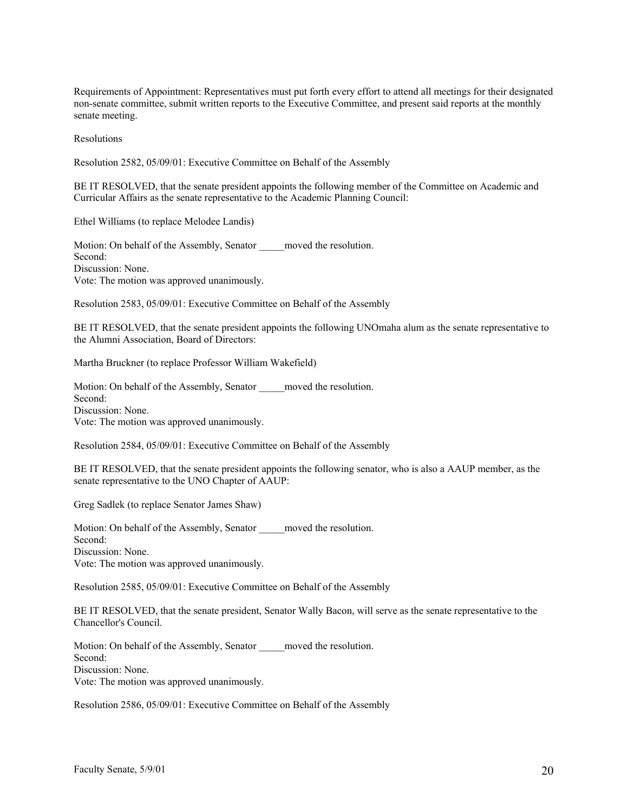Requirements of Appointment: Representatives must put forth every effort to attend all meetings for their designated non-senate committee, submit written reports to the Executive Committee, and present said reports at the monthly senate meeting.

Resolutions

Resolution 2582, 05/09/01: Executive Committee on Behalf of the Assembly

BE IT RESOLVED, that the senate president appoints the following member of the Committee on Academic and Curricular Affairs as the senate representative to the Academic Planning Council:

Ethel Williams (to replace Melodee Landis)

Motion: On behalf of the Assembly, Senator \_\_\_\_\_\_moved the resolution. Second: Discussion: None. Vote: The motion was approved unanimously.

Resolution 2583, 05/09/01: Executive Committee on Behalf of the Assembly

BE IT RESOLVED, that the senate president appoints the following UNOmaha alum as the senate representative to the Alumni Association, Board of Directors:

Martha Bruckner (to replace Professor William Wakefield)

Motion: On behalf of the Assembly, Senator moved the resolution. Second: Discussion: None. Vote: The motion was approved unanimously.

Resolution 2584, 05/09/01: Executive Committee on Behalf of the Assembly

BE IT RESOLVED, that the senate president appoints the following senator, who is also a AAUP member, as the senate representative to the UNO Chapter of AAUP:

Greg Sadlek (to replace Senator James Shaw)

Motion: On behalf of the Assembly, Senator moved the resolution. Second: Discussion: None. Vote: The motion was approved unanimously.

Resolution 2585, 05/09/01: Executive Committee on Behalf of the Assembly

BE IT RESOLVED, that the senate president, Senator Wally Bacon, will serve as the senate representative to the Chancellor's Council.

Motion: On behalf of the Assembly, Senator moved the resolution. Second: Discussion: None. Vote: The motion was approved unanimously.

Resolution 2586, 05/09/01: Executive Committee on Behalf of the Assembly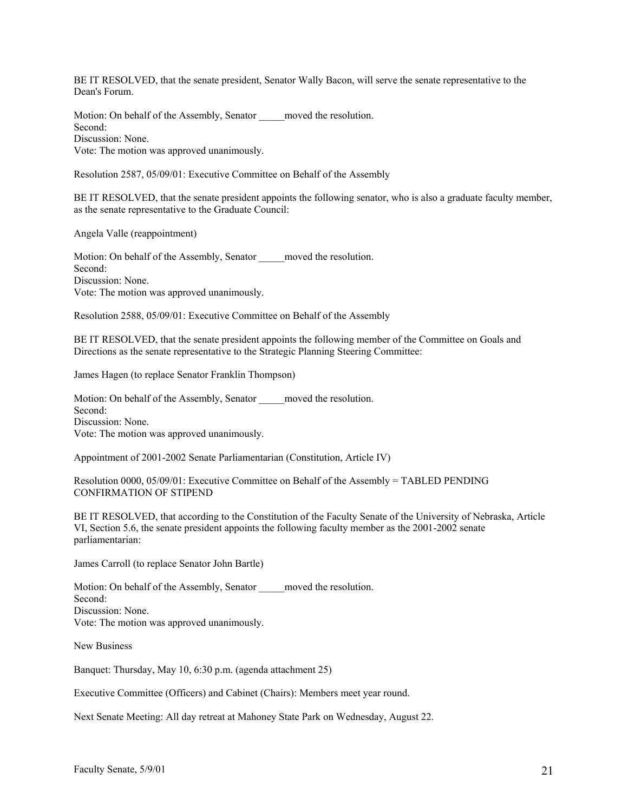BE IT RESOLVED, that the senate president, Senator Wally Bacon, will serve the senate representative to the Dean's Forum.

Motion: On behalf of the Assembly, Senator \_\_\_\_\_\_ moved the resolution. Second: Discussion: None. Vote: The motion was approved unanimously.

Resolution 2587, 05/09/01: Executive Committee on Behalf of the Assembly

BE IT RESOLVED, that the senate president appoints the following senator, who is also a graduate faculty member, as the senate representative to the Graduate Council:

Angela Valle (reappointment)

Motion: On behalf of the Assembly, Senator moved the resolution. Second: Discussion: None. Vote: The motion was approved unanimously.

Resolution 2588, 05/09/01: Executive Committee on Behalf of the Assembly

BE IT RESOLVED, that the senate president appoints the following member of the Committee on Goals and Directions as the senate representative to the Strategic Planning Steering Committee:

James Hagen (to replace Senator Franklin Thompson)

Motion: On behalf of the Assembly, Senator \_\_\_\_\_\_ moved the resolution. Second: Discussion: None. Vote: The motion was approved unanimously.

Appointment of 2001-2002 Senate Parliamentarian (Constitution, Article IV)

| Resolution 0000, 05/09/01: Executive Committee on Behalf of the Assembly = TABLED PENDING |  |
|-------------------------------------------------------------------------------------------|--|
| CONFIRMATION OF STIPEND                                                                   |  |

BE IT RESOLVED, that according to the Constitution of the Faculty Senate of the University of Nebraska, Article VI, Section 5.6, the senate president appoints the following faculty member as the 2001-2002 senate parliamentarian:

James Carroll (to replace Senator John Bartle)

Motion: On behalf of the Assembly, Senator moved the resolution. Second: Discussion: None. Vote: The motion was approved unanimously.

New Business

Banquet: Thursday, May 10, 6:30 p.m. (agenda attachment 25)

Executive Committee (Officers) and Cabinet (Chairs): Members meet year round.

Next Senate Meeting: All day retreat at Mahoney State Park on Wednesday, August 22.